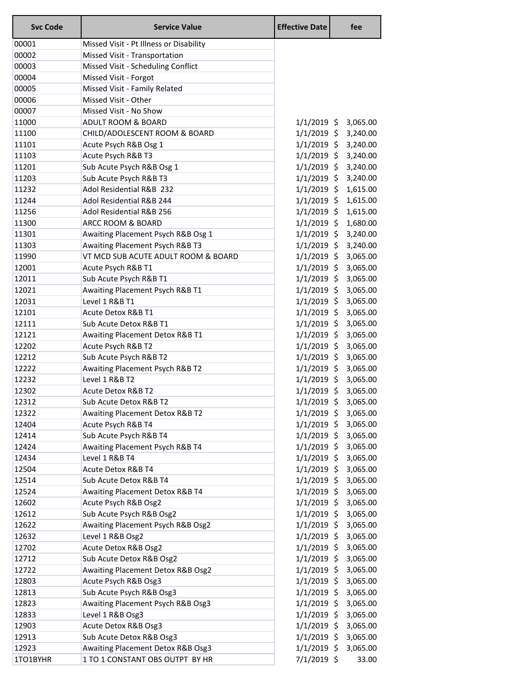| <b>Svc Code</b> | <b>Service Value</b>                    | <b>Effective Date</b> | fee                  |
|-----------------|-----------------------------------------|-----------------------|----------------------|
| 00001           | Missed Visit - Pt Illness or Disability |                       |                      |
| 00002           | Missed Visit - Transportation           |                       |                      |
| 00003           | Missed Visit - Scheduling Conflict      |                       |                      |
| 00004           | Missed Visit - Forgot                   |                       |                      |
| 00005           | Missed Visit - Family Related           |                       |                      |
| 00006           | Missed Visit - Other                    |                       |                      |
| 00007           | Missed Visit - No Show                  |                       |                      |
| 11000           | <b>ADULT ROOM &amp; BOARD</b>           |                       | 1/1/2019 \$ 3,065.00 |
| 11100           | CHILD/ADOLESCENT ROOM & BOARD           |                       | 1/1/2019 \$ 3,240.00 |
| 11101           | Acute Psych R&B Osg 1                   | $1/1/2019$ \$         | 3,240.00             |
| 11103           | Acute Psych R&B T3                      |                       | 1/1/2019 \$ 3,240.00 |
| 11201           | Sub Acute Psych R&B Osg 1               | $1/1/2019$ \$         | 3,240.00             |
| 11203           | Sub Acute Psych R&B T3                  | $1/1/2019$ \$         | 3,240.00             |
| 11232           | Adol Residential R&B 232                | $1/1/2019$ \$         | 1,615.00             |
| 11244           | Adol Residential R&B 244                | $1/1/2019$ \$         | 1,615.00             |
| 11256           | Adol Residential R&B 256                | $1/1/2019$ \$         | 1,615.00             |
| 11300           | ARCC ROOM & BOARD                       | $1/1/2019$ \$         | 1,680.00             |
| 11301           | Awaiting Placement Psych R&B Osg 1      | $1/1/2019$ \$         | 3,240.00             |
| 11303           | Awaiting Placement Psych R&B T3         | $1/1/2019$ \$         | 3,240.00             |
| 11990           | VT MCD SUB ACUTE ADULT ROOM & BOARD     | $1/1/2019$ \$         | 3,065.00             |
| 12001           | Acute Psych R&B T1                      | $1/1/2019$ \$         | 3,065.00             |
| 12011           | Sub Acute Psych R&B T1                  | $1/1/2019$ \$         | 3,065.00             |
| 12021           | Awaiting Placement Psych R&B T1         | $1/1/2019$ \$         | 3,065.00             |
| 12031           | Level 1 R&B T1                          | $1/1/2019$ \$         | 3,065.00             |
| 12101           | Acute Detox R&B T1                      | $1/1/2019$ \$         | 3,065.00             |
| 12111           | Sub Acute Detox R&B T1                  | $1/1/2019$ \$         | 3,065.00             |
| 12121           | Awaiting Placement Detox R&B T1         | $1/1/2019$ \$         | 3,065.00             |
| 12202           | Acute Psych R&B T2                      | $1/1/2019$ \$         | 3,065.00             |
| 12212           | Sub Acute Psych R&B T2                  | $1/1/2019$ \$         | 3,065.00             |
| 12222           | Awaiting Placement Psych R&B T2         | $1/1/2019$ \$         | 3,065.00             |
| 12232           | Level 1 R&B T2                          | $1/1/2019$ \$         | 3,065.00             |
| 12302           | Acute Detox R&B T2                      | $1/1/2019$ \$         | 3,065.00             |
| 12312           | Sub Acute Detox R&B T2                  | $1/1/2019$ \$         | 3,065.00             |
| 12322           | Awaiting Placement Detox R&B T2         | $1/1/2019$ \$         | 3,065.00             |
| 12404           | Acute Psych R&B T4                      | $1/1/2019$ \$         | 3,065.00             |
| 12414           | Sub Acute Psych R&B T4                  | $1/1/2019$ \$         | 3,065.00             |
| 12424           | Awaiting Placement Psych R&B T4         | $1/1/2019$ \$         | 3,065.00             |
| 12434           | Level 1 R&B T4                          | $1/1/2019$ \$         | 3,065.00             |
| 12504           | Acute Detox R&B T4                      | $1/1/2019$ \$         | 3,065.00             |
| 12514           | Sub Acute Detox R&B T4                  | $1/1/2019$ \$         | 3,065.00             |
| 12524           | Awaiting Placement Detox R&B T4         | $1/1/2019$ \$         | 3,065.00             |
| 12602           | Acute Psych R&B Osg2                    | $1/1/2019$ \$         | 3,065.00             |
| 12612           | Sub Acute Psych R&B Osg2                | $1/1/2019$ \$         | 3,065.00             |
| 12622           | Awaiting Placement Psych R&B Osg2       | $1/1/2019$ \$         | 3,065.00             |
| 12632           | Level 1 R&B Osg2                        | $1/1/2019$ \$         | 3,065.00             |
| 12702           | Acute Detox R&B Osg2                    | $1/1/2019$ \$         | 3,065.00             |
| 12712           | Sub Acute Detox R&B Osg2                | $1/1/2019$ \$         | 3,065.00             |
| 12722           | Awaiting Placement Detox R&B Osg2       | $1/1/2019$ \$         | 3,065.00             |
| 12803           | Acute Psych R&B Osg3                    | $1/1/2019$ \$         | 3,065.00             |
| 12813           | Sub Acute Psych R&B Osg3                | $1/1/2019$ \$         | 3,065.00             |
| 12823           | Awaiting Placement Psych R&B Osg3       | $1/1/2019$ \$         | 3,065.00             |
| 12833           | Level 1 R&B Osg3                        | $1/1/2019$ \$         | 3,065.00             |
| 12903           | Acute Detox R&B Osg3                    | $1/1/2019$ \$         | 3,065.00             |
| 12913           | Sub Acute Detox R&B Osg3                | $1/1/2019$ \$         | 3,065.00             |
| 12923           | Awaiting Placement Detox R&B Osg3       | $1/1/2019$ \$         | 3,065.00             |
| 1TO1BYHR        | 1 TO 1 CONSTANT OBS OUTPT BY HR         | 7/1/2019 \$           | 33.00                |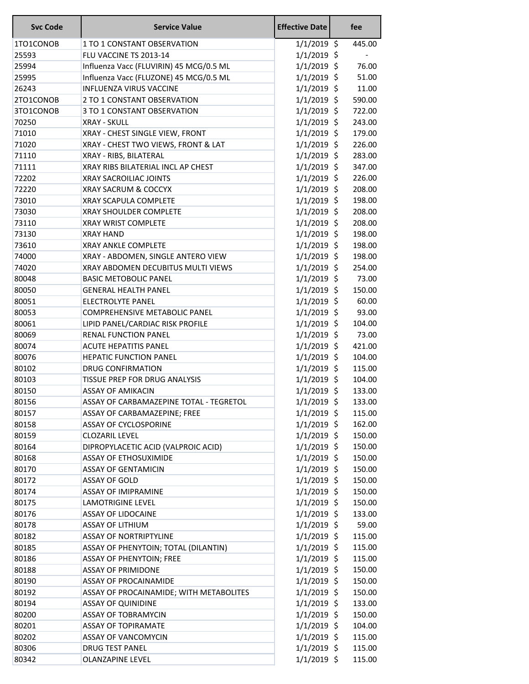| <b>Svc Code</b> | <b>Service Value</b>                    | <b>Effective Date</b> | fee    |
|-----------------|-----------------------------------------|-----------------------|--------|
| 1TO1CONOB       | 1 TO 1 CONSTANT OBSERVATION             | $1/1/2019$ \$         | 445.00 |
| 25593           | FLU VACCINE TS 2013-14                  | $1/1/2019$ \$         |        |
| 25994           | Influenza Vacc (FLUVIRIN) 45 MCG/0.5 ML | $1/1/2019$ \$         | 76.00  |
| 25995           | Influenza Vacc (FLUZONE) 45 MCG/0.5 ML  | $1/1/2019$ \$         | 51.00  |
| 26243           | <b>INFLUENZA VIRUS VACCINE</b>          | $1/1/2019$ \$         | 11.00  |
| 2TO1CONOB       | 2 TO 1 CONSTANT OBSERVATION             | $1/1/2019$ \$         | 590.00 |
| 3TO1CONOB       | 3 TO 1 CONSTANT OBSERVATION             | $1/1/2019$ \$         | 722.00 |
| 70250           | <b>XRAY - SKULL</b>                     | $1/1/2019$ \$         | 243.00 |
| 71010           | XRAY - CHEST SINGLE VIEW, FRONT         | $1/1/2019$ \$         | 179.00 |
| 71020           | XRAY - CHEST TWO VIEWS, FRONT & LAT     | $1/1/2019$ \$         | 226.00 |
| 71110           | XRAY - RIBS, BILATERAL                  | $1/1/2019$ \$         | 283.00 |
| 71111           | XRAY RIBS BILATERIAL INCL AP CHEST      | $1/1/2019$ \$         | 347.00 |
| 72202           | XRAY SACROILIAC JOINTS                  | $1/1/2019$ \$         | 226.00 |
| 72220           | XRAY SACRUM & COCCYX                    | $1/1/2019$ \$         | 208.00 |
| 73010           | <b>XRAY SCAPULA COMPLETE</b>            | $1/1/2019$ \$         | 198.00 |
| 73030           | <b>XRAY SHOULDER COMPLETE</b>           | $1/1/2019$ \$         | 208.00 |
| 73110           | <b>XRAY WRIST COMPLETE</b>              | $1/1/2019$ \$         | 208.00 |
| 73130           | <b>XRAY HAND</b>                        | $1/1/2019$ \$         | 198.00 |
| 73610           | <b>XRAY ANKLE COMPLETE</b>              | $1/1/2019$ \$         | 198.00 |
| 74000           | XRAY - ABDOMEN, SINGLE ANTERO VIEW      | $1/1/2019$ \$         | 198.00 |
| 74020           | XRAY ABDOMEN DECUBITUS MULTI VIEWS      | $1/1/2019$ \$         | 254.00 |
| 80048           | <b>BASIC METOBOLIC PANEL</b>            | $1/1/2019$ \$         | 73.00  |
| 80050           | <b>GENERAL HEALTH PANEL</b>             | $1/1/2019$ \$         | 150.00 |
| 80051           | ELECTROLYTE PANEL                       | $1/1/2019$ \$         | 60.00  |
| 80053           | COMPREHENSIVE METABOLIC PANEL           | $1/1/2019$ \$         | 93.00  |
| 80061           | LIPID PANEL/CARDIAC RISK PROFILE        | $1/1/2019$ \$         | 104.00 |
| 80069           | RENAL FUNCTION PANEL                    | $1/1/2019$ \$         | 73.00  |
| 80074           | <b>ACUTE HEPATITIS PANEL</b>            | $1/1/2019$ \$         | 421.00 |
| 80076           | <b>HEPATIC FUNCTION PANEL</b>           | $1/1/2019$ \$         | 104.00 |
| 80102           | <b>DRUG CONFIRMATION</b>                | $1/1/2019$ \$         | 115.00 |
| 80103           | TISSUE PREP FOR DRUG ANALYSIS           | $1/1/2019$ \$         | 104.00 |
| 80150           | <b>ASSAY OF AMIKACIN</b>                | $1/1/2019$ \$         | 133.00 |
| 80156           | ASSAY OF CARBAMAZEPINE TOTAL - TEGRETOL | $1/1/2019$ \$         | 133.00 |
| 80157           | ASSAY OF CARBAMAZEPINE; FREE            | $1/1/2019$ \$         | 115.00 |
| 80158           | <b>ASSAY OF CYCLOSPORINE</b>            | $1/1/2019$ \$         | 162.00 |
| 80159           | <b>CLOZARIL LEVEL</b>                   | $1/1/2019$ \$         | 150.00 |
| 80164           | DIPROPYLACETIC ACID (VALPROIC ACID)     | $1/1/2019$ \$         | 150.00 |
| 80168           | <b>ASSAY OF ETHOSUXIMIDE</b>            | $1/1/2019$ \$         | 150.00 |
| 80170           | <b>ASSAY OF GENTAMICIN</b>              | $1/1/2019$ \$         | 150.00 |
| 80172           | <b>ASSAY OF GOLD</b>                    | $1/1/2019$ \$         | 150.00 |
| 80174           | <b>ASSAY OF IMIPRAMINE</b>              | $1/1/2019$ \$         | 150.00 |
| 80175           | <b>LAMOTRIGINE LEVEL</b>                | $1/1/2019$ \$         | 150.00 |
| 80176           | <b>ASSAY OF LIDOCAINE</b>               | $1/1/2019$ \$         | 133.00 |
| 80178           | <b>ASSAY OF LITHIUM</b>                 | $1/1/2019$ \$         | 59.00  |
| 80182           | <b>ASSAY OF NORTRIPTYLINE</b>           | $1/1/2019$ \$         | 115.00 |
| 80185           | ASSAY OF PHENYTOIN; TOTAL (DILANTIN)    | $1/1/2019$ \$         | 115.00 |
| 80186           | <b>ASSAY OF PHENYTOIN; FREE</b>         | $1/1/2019$ \$         | 115.00 |
| 80188           | <b>ASSAY OF PRIMIDONE</b>               | $1/1/2019$ \$         | 150.00 |
| 80190           | ASSAY OF PROCAINAMIDE                   | $1/1/2019$ \$         | 150.00 |
| 80192           | ASSAY OF PROCAINAMIDE; WITH METABOLITES | $1/1/2019$ \$         | 150.00 |
| 80194           | <b>ASSAY OF QUINIDINE</b>               | $1/1/2019$ \$         | 133.00 |
| 80200           | <b>ASSAY OF TOBRAMYCIN</b>              | $1/1/2019$ \$         | 150.00 |
| 80201           | <b>ASSAY OF TOPIRAMATE</b>              | $1/1/2019$ \$         | 104.00 |
| 80202           | <b>ASSAY OF VANCOMYCIN</b>              | $1/1/2019$ \$         | 115.00 |
| 80306           | <b>DRUG TEST PANEL</b>                  | $1/1/2019$ \$         | 115.00 |
| 80342           | <b>OLANZAPINE LEVEL</b>                 | $1/1/2019$ \$         | 115.00 |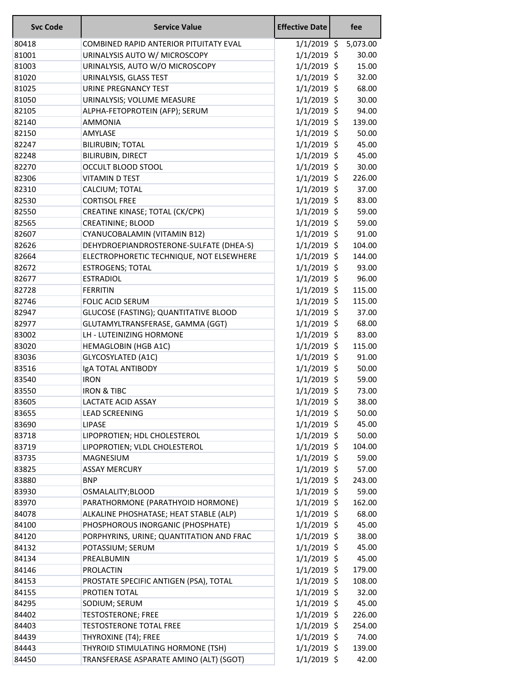| <b>Svc Code</b> | <b>Service Value</b>                                                | <b>Effective Date</b> | fee |                 |
|-----------------|---------------------------------------------------------------------|-----------------------|-----|-----------------|
| 80418           | COMBINED RAPID ANTERIOR PITUITATY EVAL                              | $1/1/2019$ \$         |     | 5,073.00        |
| 81001           | URINALYSIS AUTO W/ MICROSCOPY                                       | $1/1/2019$ \$         |     | 30.00           |
| 81003           | URINALYSIS, AUTO W/O MICROSCOPY                                     | $1/1/2019$ \$         |     | 15.00           |
| 81020           | URINALYSIS, GLASS TEST                                              | $1/1/2019$ \$         |     | 32.00           |
| 81025           | <b>URINE PREGNANCY TEST</b>                                         | $1/1/2019$ \$         |     | 68.00           |
| 81050           | URINALYSIS; VOLUME MEASURE                                          | $1/1/2019$ \$         |     | 30.00           |
| 82105           | ALPHA-FETOPROTEIN (AFP); SERUM                                      | $1/1/2019$ \$         |     | 94.00           |
| 82140           | <b>AMMONIA</b>                                                      | $1/1/2019$ \$         |     | 139.00          |
| 82150           | AMYLASE                                                             | $1/1/2019$ \$         |     | 50.00           |
| 82247           | <b>BILIRUBIN; TOTAL</b>                                             | $1/1/2019$ \$         |     | 45.00           |
| 82248           | BILIRUBIN, DIRECT                                                   | $1/1/2019$ \$         |     | 45.00           |
| 82270           | <b>OCCULT BLOOD STOOL</b>                                           | $1/1/2019$ \$         |     | 30.00           |
| 82306           | <b>VITAMIN D TEST</b>                                               | $1/1/2019$ \$         |     | 226.00          |
| 82310           | CALCIUM; TOTAL                                                      | $1/1/2019$ \$         |     | 37.00           |
| 82530           | <b>CORTISOL FREE</b>                                                | $1/1/2019$ \$         |     | 83.00           |
| 82550           | CREATINE KINASE; TOTAL (CK/CPK)                                     | $1/1/2019$ \$         |     | 59.00           |
| 82565           | <b>CREATININE; BLOOD</b>                                            | $1/1/2019$ \$         |     | 59.00           |
| 82607           | CYANUCOBALAMIN (VITAMIN B12)                                        | $1/1/2019$ \$         |     | 91.00           |
| 82626           | DEHYDROEPIANDROSTERONE-SULFATE (DHEA-S)                             | $1/1/2019$ \$         |     | 104.00          |
| 82664           | ELECTROPHORETIC TECHNIQUE, NOT ELSEWHERE                            | $1/1/2019$ \$         |     | 144.00          |
| 82672           | <b>ESTROGENS; TOTAL</b>                                             | $1/1/2019$ \$         |     | 93.00           |
| 82677           | <b>ESTRADIOL</b>                                                    | $1/1/2019$ \$         |     | 96.00           |
| 82728           | <b>FERRITIN</b>                                                     | $1/1/2019$ \$         |     | 115.00          |
| 82746           | <b>FOLIC ACID SERUM</b>                                             | $1/1/2019$ \$         |     | 115.00          |
| 82947           |                                                                     | $1/1/2019$ \$         |     | 37.00           |
| 82977           | GLUCOSE (FASTING); QUANTITATIVE BLOOD                               | $1/1/2019$ \$         |     | 68.00           |
|                 | GLUTAMYLTRANSFERASE, GAMMA (GGT)<br><b>LH - LUTEINIZING HORMONE</b> | $1/1/2019$ \$         |     |                 |
| 83002           |                                                                     |                       |     | 83.00           |
| 83020           | <b>HEMAGLOBIN (HGB A1C)</b>                                         | $1/1/2019$ \$         |     | 115.00<br>91.00 |
| 83036           | <b>GLYCOSYLATED (A1C)</b>                                           | $1/1/2019$ \$         |     |                 |
| 83516           | IgA TOTAL ANTIBODY                                                  | $1/1/2019$ \$         |     | 50.00           |
| 83540           | <b>IRON</b>                                                         | $1/1/2019$ \$         |     | 59.00           |
| 83550           | <b>IRON &amp; TIBC</b>                                              | $1/1/2019$ \$         |     | 73.00           |
| 83605           | <b>LACTATE ACID ASSAY</b>                                           | $1/1/2019$ \$         |     | 38.00           |
| 83655           | <b>LEAD SCREENING</b>                                               | $1/1/2019$ \$         |     | 50.00           |
| 83690           | <b>LIPASE</b>                                                       | $1/1/2019$ \$         |     | 45.00           |
| 83718           | LIPOPROTIEN; HDL CHOLESTEROL                                        | $1/1/2019$ \$         |     | 50.00           |
| 83719           | LIPOPROTIEN; VLDL CHOLESTEROL                                       | $1/1/2019$ \$         |     | 104.00          |
| 83735           | MAGNESIUM                                                           | $1/1/2019$ \$         |     | 59.00           |
| 83825           | <b>ASSAY MERCURY</b>                                                | $1/1/2019$ \$         |     | 57.00           |
| 83880           | <b>BNP</b>                                                          | $1/1/2019$ \$         |     | 243.00          |
| 83930           | OSMALALITY;BLOOD                                                    | $1/1/2019$ \$         |     | 59.00           |
| 83970           | PARATHORMONE (PARATHYOID HORMONE)                                   | $1/1/2019$ \$         |     | 162.00          |
| 84078           | ALKALINE PHOSHATASE; HEAT STABLE (ALP)                              | $1/1/2019$ \$         |     | 68.00           |
| 84100           | PHOSPHOROUS INORGANIC (PHOSPHATE)                                   | $1/1/2019$ \$         |     | 45.00           |
| 84120           | PORPHYRINS, URINE; QUANTITATION AND FRAC                            | $1/1/2019$ \$         |     | 38.00           |
| 84132           | POTASSIUM; SERUM                                                    | $1/1/2019$ \$         |     | 45.00           |
| 84134           | PREALBUMIN                                                          | $1/1/2019$ \$         |     | 45.00           |
| 84146           | <b>PROLACTIN</b>                                                    | $1/1/2019$ \$         |     | 179.00          |
| 84153           | PROSTATE SPECIFIC ANTIGEN (PSA), TOTAL                              | $1/1/2019$ \$         |     | 108.00          |
| 84155           | PROTIEN TOTAL                                                       | $1/1/2019$ \$         |     | 32.00           |
| 84295           | SODIUM; SERUM                                                       | $1/1/2019$ \$         |     | 45.00           |
| 84402           | <b>TESTOSTERONE; FREE</b>                                           | $1/1/2019$ \$         |     | 226.00          |
| 84403           | <b>TESTOSTERONE TOTAL FREE</b>                                      | $1/1/2019$ \$         |     | 254.00          |
| 84439           | THYROXINE (T4); FREE                                                | $1/1/2019$ \$         |     | 74.00           |
| 84443           | THYROID STIMULATING HORMONE (TSH)                                   | $1/1/2019$ \$         |     | 139.00          |
| 84450           | TRANSFERASE ASPARATE AMINO (ALT) (SGOT)                             | $1/1/2019$ \$         |     | 42.00           |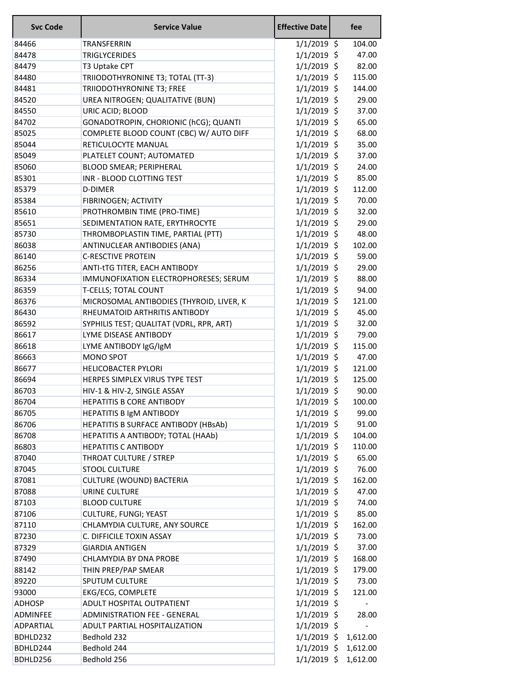| <b>Svc Code</b> | <b>Service Value</b>                     | <b>Effective Date</b> | fee                      |  |
|-----------------|------------------------------------------|-----------------------|--------------------------|--|
| 84466           | TRANSFERRIN                              | $1/1/2019$ \$         | 104.00                   |  |
| 84478           | <b>TRIGLYCERIDES</b>                     | $1/1/2019$ \$         | 47.00                    |  |
| 84479           | T3 Uptake CPT                            | $1/1/2019$ \$         | 82.00                    |  |
| 84480           | TRIIODOTHYRONINE T3; TOTAL (TT-3)        | $1/1/2019$ \$         | 115.00                   |  |
| 84481           | TRIIODOTHYRONINE T3; FREE                | $1/1/2019$ \$         | 144.00                   |  |
| 84520           | UREA NITROGEN; QUALITATIVE (BUN)         | 1/1/2019 \$           | 29.00                    |  |
| 84550           | URIC ACID; BLOOD                         | $1/1/2019$ \$         | 37.00                    |  |
| 84702           | GONADOTROPIN, CHORIONIC (hCG); QUANTI    | $1/1/2019$ \$         | 65.00                    |  |
| 85025           | COMPLETE BLOOD COUNT (CBC) W/ AUTO DIFF  | $1/1/2019$ \$         | 68.00                    |  |
| 85044           | RETICULOCYTE MANUAL                      | $1/1/2019$ \$         | 35.00                    |  |
| 85049           | PLATELET COUNT; AUTOMATED                | $1/1/2019$ \$         | 37.00                    |  |
| 85060           | <b>BLOOD SMEAR; PERIPHERAL</b>           | $1/1/2019$ \$         | 24.00                    |  |
| 85301           | INR - BLOOD CLOTTING TEST                | $1/1/2019$ \$         | 85.00                    |  |
| 85379           | D-DIMER                                  | $1/1/2019$ \$         | 112.00                   |  |
| 85384           | FIBRINOGEN; ACTIVITY                     | $1/1/2019$ \$         | 70.00                    |  |
| 85610           | PROTHROMBIN TIME (PRO-TIME)              | $1/1/2019$ \$         | 32.00                    |  |
| 85651           | SEDIMENTATION RATE, ERYTHROCYTE          | $1/1/2019$ \$         | 29.00                    |  |
| 85730           | THROMBOPLASTIN TIME, PARTIAL (PTT)       | $1/1/2019$ \$         | 48.00                    |  |
| 86038           | ANTINUCLEAR ANTIBODIES (ANA)             | $1/1/2019$ \$         | 102.00                   |  |
| 86140           | <b>C-RESCTIVE PROTEIN</b>                | $1/1/2019$ \$         | 59.00                    |  |
| 86256           | ANTI-tTG TITER, EACH ANTIBODY            | $1/1/2019$ \$         | 29.00                    |  |
| 86334           | IMMUNOFIXATION ELECTROPHORESES; SERUM    | $1/1/2019$ \$         | 88.00                    |  |
| 86359           | <b>T-CELLS; TOTAL COUNT</b>              | $1/1/2019$ \$         | 94.00                    |  |
| 86376           | MICROSOMAL ANTIBODIES (THYROID, LIVER, K | $1/1/2019$ \$         | 121.00                   |  |
| 86430           | RHEUMATOID ARTHRITIS ANTIBODY            | $1/1/2019$ \$         | 45.00                    |  |
| 86592           | SYPHILIS TEST; QUALITAT (VDRL, RPR, ART) | $1/1/2019$ \$         | 32.00                    |  |
| 86617           | LYME DISEASE ANTIBODY                    | $1/1/2019$ \$         | 79.00                    |  |
| 86618           | LYME ANTIBODY IgG/IgM                    | $1/1/2019$ \$         | 115.00                   |  |
| 86663           | <b>MONO SPOT</b>                         | $1/1/2019$ \$         | 47.00                    |  |
| 86677           | <b>HELICOBACTER PYLORI</b>               | 1/1/2019 \$           | 121.00                   |  |
| 86694           | HERPES SIMPLEX VIRUS TYPE TEST           | $1/1/2019$ \$         | 125.00                   |  |
| 86703           | HIV-1 & HIV-2, SINGLE ASSAY              | $1/1/2019$ \$         | 90.00                    |  |
| 86704           | <b>HEPATITIS B CORE ANTIBODY</b>         | $1/1/2019$ \$         | 100.00                   |  |
| 86705           | HEPATITIS B IgM ANTIBODY                 | $1/1/2019$ \$         | 99.00                    |  |
| 86706           | HEPATITIS B SURFACE ANTIBODY (HBsAb)     | $1/1/2019$ \$         | 91.00                    |  |
| 86708           | HEPATITIS A ANTIBODY; TOTAL (HAAb)       | $1/1/2019$ \$         | 104.00                   |  |
| 86803           | <b>HEPATITIS C ANTIBODY</b>              | $1/1/2019$ \$         | 110.00                   |  |
| 87040           | THROAT CULTURE / STREP                   | $1/1/2019$ \$         | 65.00                    |  |
| 87045           | <b>STOOL CULTURE</b>                     | $1/1/2019$ \$         | 76.00                    |  |
| 87081           | <b>CULTURE (WOUND) BACTERIA</b>          | 1/1/2019 \$           | 162.00                   |  |
| 87088           | URINE CULTURE                            | 1/1/2019 \$           | 47.00                    |  |
| 87103           | <b>BLOOD CULTURE</b>                     | $1/1/2019$ \$         | 74.00                    |  |
| 87106           |                                          | $1/1/2019$ \$         | 85.00                    |  |
|                 | CULTURE, FUNGI; YEAST                    |                       | 162.00                   |  |
| 87110           | CHLAMYDIA CULTURE, ANY SOURCE            | $1/1/2019$ \$         |                          |  |
| 87230           | C. DIFFICILE TOXIN ASSAY                 | $1/1/2019$ \$         | 73.00<br>37.00           |  |
| 87329           | <b>GIARDIA ANTIGEN</b>                   | 1/1/2019 \$           |                          |  |
| 87490           | CHLAMYDIA BY DNA PROBE                   | $1/1/2019$ \$         | 168.00                   |  |
| 88142           | THIN PREP/PAP SMEAR                      | $1/1/2019$ \$         | 179.00                   |  |
| 89220           | SPUTUM CULTURE                           | 1/1/2019 \$           | 73.00                    |  |
| 93000           | EKG/ECG, COMPLETE                        | $1/1/2019$ \$         | 121.00                   |  |
| <b>ADHOSP</b>   | ADULT HOSPITAL OUTPATIENT                | $1/1/2019$ \$         |                          |  |
| <b>ADMINFEE</b> | <b>ADMINISTRATION FEE - GENERAL</b>      | $1/1/2019$ \$         | 28.00                    |  |
| ADPARTIAL       | ADULT PARTIAL HOSPITALIZATION            | $1/1/2019$ \$         | $\overline{\phantom{a}}$ |  |
| BDHLD232        | Bedhold 232                              |                       | $1/1/2019$ \$ 1,612.00   |  |
| BDHLD244        | Bedhold 244                              |                       | 1/1/2019 \$ 1,612.00     |  |
| BDHLD256        | Bedhold 256                              | $1/1/2019$ \$         | 1,612.00                 |  |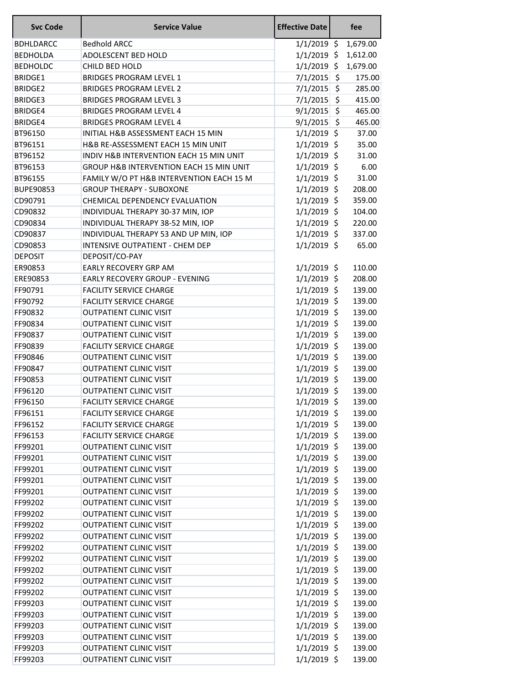| <b>Svc Code</b>  | <b>Service Value</b>                     | <b>Effective Date</b> |                    | fee      |
|------------------|------------------------------------------|-----------------------|--------------------|----------|
| <b>BDHLDARCC</b> | <b>Bedhold ARCC</b>                      | $1/1/2019$ \$         |                    | 1,679.00 |
| <b>BEDHOLDA</b>  | ADOLESCENT BED HOLD                      | $1/1/2019$ \$         |                    | 1,612.00 |
| <b>BEDHOLDC</b>  | CHILD BED HOLD                           | $1/1/2019$ \$         |                    | 1,679.00 |
| <b>BRIDGE1</b>   | <b>BRIDGES PROGRAM LEVEL 1</b>           | $7/1/2015$ \$         |                    | 175.00   |
| <b>BRIDGE2</b>   | <b>BRIDGES PROGRAM LEVEL 2</b>           | $7/1/2015$ \$         |                    | 285.00   |
| <b>BRIDGE3</b>   | <b>BRIDGES PROGRAM LEVEL 3</b>           | 7/1/2015              | \$                 | 415.00   |
| <b>BRIDGE4</b>   | <b>BRIDGES PROGRAM LEVEL 4</b>           | 9/1/2015              | $\ddot{\varsigma}$ | 465.00   |
| <b>BRIDGE4</b>   | <b>BRIDGES PROGRAM LEVEL 4</b>           | $9/1/2015$ \$         |                    | 465.00   |
| BT96150          | INITIAL H&B ASSESSMENT EACH 15 MIN       | $1/1/2019$ \$         |                    | 37.00    |
| BT96151          | H&B RE-ASSESSMENT EACH 15 MIN UNIT       | $1/1/2019$ \$         |                    | 35.00    |
| BT96152          | INDIV H&B INTERVENTION EACH 15 MIN UNIT  | $1/1/2019$ \$         |                    | 31.00    |
| BT96153          | GROUP H&B INTERVENTION EACH 15 MIN UNIT  | $1/1/2019$ \$         |                    | 6.00     |
| BT96155          | FAMILY W/O PT H&B INTERVENTION EACH 15 M | $1/1/2019$ \$         |                    | 31.00    |
| <b>BUPE90853</b> | <b>GROUP THERAPY - SUBOXONE</b>          | $1/1/2019$ \$         |                    | 208.00   |
| CD90791          | CHEMICAL DEPENDENCY EVALUATION           | $1/1/2019$ \$         |                    | 359.00   |
| CD90832          | INDIVIDUAL THERAPY 30-37 MIN, IOP        | $1/1/2019$ \$         |                    | 104.00   |
| CD90834          | INDIVIDUAL THERAPY 38-52 MIN, IOP        | $1/1/2019$ \$         |                    | 220.00   |
| CD90837          | INDIVIDUAL THERAPY 53 AND UP MIN, IOP    | $1/1/2019$ \$         |                    | 337.00   |
| CD90853          | INTENSIVE OUTPATIENT - CHEM DEP          | $1/1/2019$ \$         |                    | 65.00    |
| <b>DEPOSIT</b>   | DEPOSIT/CO-PAY                           |                       |                    |          |
| ER90853          | <b>EARLY RECOVERY GRP AM</b>             | $1/1/2019$ \$         |                    | 110.00   |
| ERE90853         | EARLY RECOVERY GROUP - EVENING           | $1/1/2019$ \$         |                    | 208.00   |
| FF90791          | <b>FACILITY SERVICE CHARGE</b>           | $1/1/2019$ \$         |                    | 139.00   |
| FF90792          | <b>FACILITY SERVICE CHARGE</b>           | $1/1/2019$ \$         |                    | 139.00   |
| FF90832          | <b>OUTPATIENT CLINIC VISIT</b>           | $1/1/2019$ \$         |                    | 139.00   |
| FF90834          | <b>OUTPATIENT CLINIC VISIT</b>           | $1/1/2019$ \$         |                    | 139.00   |
| FF90837          | <b>OUTPATIENT CLINIC VISIT</b>           | $1/1/2019$ \$         |                    | 139.00   |
| FF90839          | <b>FACILITY SERVICE CHARGE</b>           | $1/1/2019$ \$         |                    | 139.00   |
| FF90846          | <b>OUTPATIENT CLINIC VISIT</b>           | $1/1/2019$ \$         |                    | 139.00   |
| FF90847          | OUTPATIENT CLINIC VISIT                  | 1/1/2019 \$           |                    | 139.00   |
| FF90853          | <b>OUTPATIENT CLINIC VISIT</b>           | $1/1/2019$ \$         |                    | 139.00   |
| FF96120          | <b>OUTPATIENT CLINIC VISIT</b>           | $1/1/2019$ \$         |                    | 139.00   |
| FF96150          | <b>FACILITY SERVICE CHARGE</b>           | $1/1/2019$ \$         |                    | 139.00   |
| FF96151          | <b>FACILITY SERVICE CHARGE</b>           | $1/1/2019$ \$         |                    | 139.00   |
| FF96152          | <b>FACILITY SERVICE CHARGE</b>           | $1/1/2019$ \$         |                    | 139.00   |
| FF96153          | <b>FACILITY SERVICE CHARGE</b>           | $1/1/2019$ \$         |                    | 139.00   |
| FF99201          | <b>OUTPATIENT CLINIC VISIT</b>           | $1/1/2019$ \$         |                    | 139.00   |
| FF99201          | <b>OUTPATIENT CLINIC VISIT</b>           | $1/1/2019$ \$         |                    | 139.00   |
| FF99201          | <b>OUTPATIENT CLINIC VISIT</b>           | $1/1/2019$ \$         |                    | 139.00   |
| FF99201          | <b>OUTPATIENT CLINIC VISIT</b>           | $1/1/2019$ \$         |                    | 139.00   |
| FF99201          | <b>OUTPATIENT CLINIC VISIT</b>           | $1/1/2019$ \$         |                    | 139.00   |
| FF99202          | <b>OUTPATIENT CLINIC VISIT</b>           | $1/1/2019$ \$         |                    | 139.00   |
| FF99202          | <b>OUTPATIENT CLINIC VISIT</b>           | $1/1/2019$ \$         |                    | 139.00   |
| FF99202          | <b>OUTPATIENT CLINIC VISIT</b>           | $1/1/2019$ \$         |                    | 139.00   |
| FF99202          | <b>OUTPATIENT CLINIC VISIT</b>           | $1/1/2019$ \$         |                    | 139.00   |
| FF99202          | <b>OUTPATIENT CLINIC VISIT</b>           | $1/1/2019$ \$         |                    | 139.00   |
| FF99202          | <b>OUTPATIENT CLINIC VISIT</b>           | $1/1/2019$ \$         |                    | 139.00   |
| FF99202          | <b>OUTPATIENT CLINIC VISIT</b>           | $1/1/2019$ \$         |                    | 139.00   |
| FF99202          | <b>OUTPATIENT CLINIC VISIT</b>           | $1/1/2019$ \$         |                    | 139.00   |
| FF99202          | <b>OUTPATIENT CLINIC VISIT</b>           | $1/1/2019$ \$         |                    | 139.00   |
| FF99203          | <b>OUTPATIENT CLINIC VISIT</b>           | $1/1/2019$ \$         |                    | 139.00   |
| FF99203          | <b>OUTPATIENT CLINIC VISIT</b>           | $1/1/2019$ \$         |                    | 139.00   |
| FF99203          | <b>OUTPATIENT CLINIC VISIT</b>           | $1/1/2019$ \$         |                    | 139.00   |
| FF99203          | <b>OUTPATIENT CLINIC VISIT</b>           | $1/1/2019$ \$         |                    | 139.00   |
| FF99203          | <b>OUTPATIENT CLINIC VISIT</b>           | $1/1/2019$ \$         |                    | 139.00   |
| FF99203          | <b>OUTPATIENT CLINIC VISIT</b>           | $1/1/2019$ \$         |                    | 139.00   |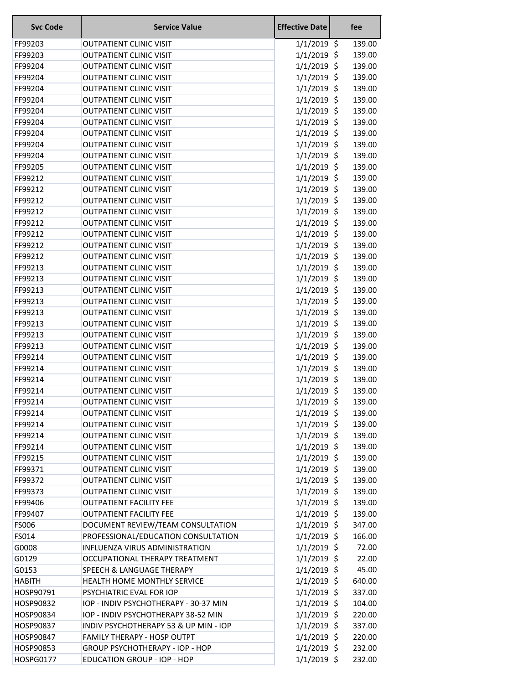| <b>Svc Code</b>    | <b>Service Value</b>                                             | <b>Effective Date</b>          |     | fee              |
|--------------------|------------------------------------------------------------------|--------------------------------|-----|------------------|
| FF99203            | <b>OUTPATIENT CLINIC VISIT</b>                                   | $1/1/2019$ \$                  |     | 139.00           |
| FF99203            | <b>OUTPATIENT CLINIC VISIT</b>                                   | $1/1/2019$ \$                  |     | 139.00           |
| FF99204            | <b>OUTPATIENT CLINIC VISIT</b>                                   | $1/1/2019$ \$                  |     | 139.00           |
| FF99204            | <b>OUTPATIENT CLINIC VISIT</b>                                   | 1/1/2019                       | \$  | 139.00           |
| FF99204            | <b>OUTPATIENT CLINIC VISIT</b>                                   | $1/1/2019$ \$                  |     | 139.00           |
| FF99204            | <b>OUTPATIENT CLINIC VISIT</b>                                   | 1/1/2019                       | \$  | 139.00           |
| FF99204            | <b>OUTPATIENT CLINIC VISIT</b>                                   | 1/1/2019                       | \$  | 139.00           |
| FF99204            | <b>OUTPATIENT CLINIC VISIT</b>                                   | $1/1/2019$ \$                  |     | 139.00           |
| FF99204            | <b>OUTPATIENT CLINIC VISIT</b>                                   | $1/1/2019$ \$                  |     | 139.00           |
| FF99204            | <b>OUTPATIENT CLINIC VISIT</b>                                   | $1/1/2019$ \$                  |     | 139.00           |
| FF99204            | <b>OUTPATIENT CLINIC VISIT</b>                                   | 1/1/2019                       | \$  | 139.00           |
| FF99205            | <b>OUTPATIENT CLINIC VISIT</b>                                   | 1/1/2019                       | \$  | 139.00           |
| FF99212            | <b>OUTPATIENT CLINIC VISIT</b>                                   | $1/1/2019$ \$                  |     | 139.00           |
| FF99212            | <b>OUTPATIENT CLINIC VISIT</b>                                   | $1/1/2019$ \$                  |     | 139.00           |
| FF99212            | <b>OUTPATIENT CLINIC VISIT</b>                                   | 1/1/2019                       | -\$ | 139.00           |
| FF99212            | <b>OUTPATIENT CLINIC VISIT</b>                                   | 1/1/2019                       | \$  | 139.00           |
| FF99212            | <b>OUTPATIENT CLINIC VISIT</b>                                   | 1/1/2019                       | \$  | 139.00           |
| FF99212            | <b>OUTPATIENT CLINIC VISIT</b>                                   | $1/1/2019$ \$                  |     | 139.00           |
| FF99212            | <b>OUTPATIENT CLINIC VISIT</b>                                   | $1/1/2019$ \$                  |     | 139.00           |
| FF99212            | <b>OUTPATIENT CLINIC VISIT</b>                                   | 1/1/2019                       | \$  | 139.00           |
| FF99213            | <b>OUTPATIENT CLINIC VISIT</b>                                   | $1/1/2019$ \$                  |     | 139.00           |
| FF99213            | <b>OUTPATIENT CLINIC VISIT</b>                                   | 1/1/2019                       | \$  | 139.00           |
| FF99213            | <b>OUTPATIENT CLINIC VISIT</b>                                   | 1/1/2019                       | \$  | 139.00           |
| FF99213            | <b>OUTPATIENT CLINIC VISIT</b>                                   | 1/1/2019                       | \$  | 139.00           |
| FF99213            | <b>OUTPATIENT CLINIC VISIT</b>                                   | $1/1/2019$ \$                  |     | 139.00           |
| FF99213            | <b>OUTPATIENT CLINIC VISIT</b>                                   | $1/1/2019$ \$                  |     | 139.00           |
| FF99213            | <b>OUTPATIENT CLINIC VISIT</b>                                   | 1/1/2019                       | \$  | 139.00           |
| FF99213            | <b>OUTPATIENT CLINIC VISIT</b>                                   | 1/1/2019                       | \$  | 139.00           |
| FF99214            | <b>OUTPATIENT CLINIC VISIT</b>                                   | $1/1/2019$ \$                  |     | 139.00           |
| FF99214            | <b>OUTPATIENT CLINIC VISIT</b>                                   | $1/1/2019$ \$                  |     | 139.00           |
| FF99214            | <b>OUTPATIENT CLINIC VISIT</b>                                   | $1/1/2019$ \$                  |     | 139.00           |
| FF99214            | <b>OUTPATIENT CLINIC VISIT</b>                                   | $1/1/2019$ \$                  |     | 139.00           |
| FF99214            | <b>OUTPATIENT CLINIC VISIT</b>                                   | $1/1/2019$ \$                  |     | 139.00           |
| FF99214            | <b>OUTPATIENT CLINIC VISIT</b>                                   | $1/1/2019$ \$                  |     | 139.00           |
| FF99214            | <b>OUTPATIENT CLINIC VISIT</b>                                   | $1/1/2019$ \$                  |     | 139.00           |
| FF99214            | <b>OUTPATIENT CLINIC VISIT</b>                                   | $1/1/2019$ \$                  |     | 139.00           |
| FF99214            | <b>OUTPATIENT CLINIC VISIT</b>                                   | $1/1/2019$ \$                  |     | 139.00           |
| FF99215            | <b>OUTPATIENT CLINIC VISIT</b>                                   | $1/1/2019$ \$                  |     | 139.00           |
| FF99371            | <b>OUTPATIENT CLINIC VISIT</b>                                   | $1/1/2019$ \$                  |     | 139.00           |
| FF99372            | <b>OUTPATIENT CLINIC VISIT</b><br><b>OUTPATIENT CLINIC VISIT</b> | $1/1/2019$ \$                  |     | 139.00<br>139.00 |
| FF99373<br>FF99406 | <b>OUTPATIENT FACILITY FEE</b>                                   | $1/1/2019$ \$<br>$1/1/2019$ \$ |     | 139.00           |
| FF99407            | <b>OUTPATIENT FACILITY FEE</b>                                   | $1/1/2019$ \$                  |     | 139.00           |
| FS006              | DOCUMENT REVIEW/TEAM CONSULTATION                                | $1/1/2019$ \$                  |     | 347.00           |
| FS014              | PROFESSIONAL/EDUCATION CONSULTATION                              | $1/1/2019$ \$                  |     | 166.00           |
| G0008              | INFLUENZA VIRUS ADMINISTRATION                                   | $1/1/2019$ \$                  |     | 72.00            |
| G0129              | OCCUPATIONAL THERAPY TREATMENT                                   | $1/1/2019$ \$                  |     | 22.00            |
| G0153              | <b>SPEECH &amp; LANGUAGE THERAPY</b>                             | $1/1/2019$ \$                  |     | 45.00            |
| <b>HABITH</b>      | HEALTH HOME MONTHLY SERVICE                                      | $1/1/2019$ \$                  |     | 640.00           |
| HOSP90791          | PSYCHIATRIC EVAL FOR IOP                                         | $1/1/2019$ \$                  |     | 337.00           |
| HOSP90832          | IOP - INDIV PSYCHOTHERAPY - 30-37 MIN                            | $1/1/2019$ \$                  |     | 104.00           |
| HOSP90834          | IOP - INDIV PSYCHOTHERAPY 38-52 MIN                              | $1/1/2019$ \$                  |     | 220.00           |
| HOSP90837          | INDIV PSYCHOTHERAPY 53 & UP MIN - IOP                            | $1/1/2019$ \$                  |     | 337.00           |
| HOSP90847          | FAMILY THERAPY - HOSP OUTPT                                      | $1/1/2019$ \$                  |     | 220.00           |
| HOSP90853          | <b>GROUP PSYCHOTHERAPY - IOP - HOP</b>                           | $1/1/2019$ \$                  |     | 232.00           |
| <b>HOSPG0177</b>   | <b>EDUCATION GROUP - IOP - HOP</b>                               | $1/1/2019$ \$                  |     | 232.00           |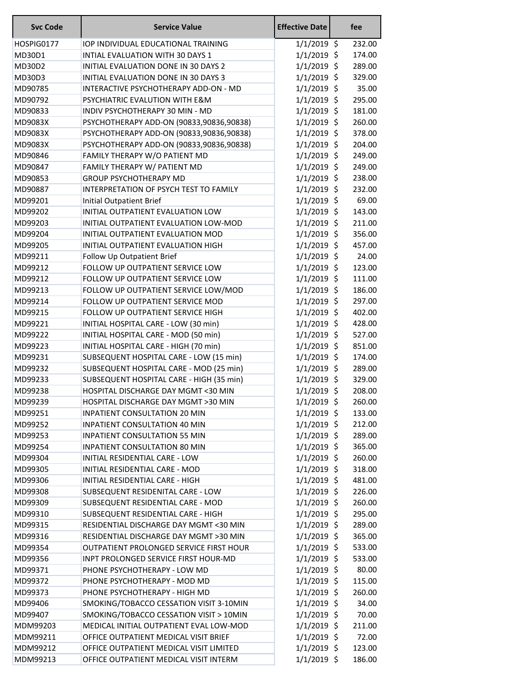| <b>Svc Code</b> | <b>Service Value</b>                     | <b>Effective Date</b> | fee    |
|-----------------|------------------------------------------|-----------------------|--------|
| HOSPIG0177      | IOP INDIVIDUAL EDUCATIONAL TRAINING      | $1/1/2019$ \$         | 232.00 |
| MD30D1          | INTIAL EVALUATION WITH 30 DAYS 1         | $1/1/2019$ \$         | 174.00 |
| MD30D2          | INITIAL EVALUATION DONE IN 30 DAYS 2     | $1/1/2019$ \$         | 289.00 |
| MD30D3          | INITIAL EVALUATION DONE IN 30 DAYS 3     | $1/1/2019$ \$         | 329.00 |
| MD90785         | INTERACTIVE PSYCHOTHERAPY ADD-ON - MD    | $1/1/2019$ \$         | 35.00  |
| MD90792         | PSYCHIATRIC EVALUTION WITH E&M           | $1/1/2019$ \$         | 295.00 |
| MD90833         | INDIV PSYCHOTHERAPY 30 MIN - MD          | $1/1/2019$ \$         | 181.00 |
| MD9083X         | PSYCHOTHERAPY ADD-ON (90833,90836,90838) | $1/1/2019$ \$         | 260.00 |
| MD9083X         | PSYCHOTHERAPY ADD-ON (90833,90836,90838) | $1/1/2019$ \$         | 378.00 |
| MD9083X         | PSYCHOTHERAPY ADD-ON (90833,90836,90838) | $1/1/2019$ \$         | 204.00 |
| MD90846         | FAMILY THERAPY W/O PATIENT MD            | $1/1/2019$ \$         | 249.00 |
| MD90847         | FAMILY THERAPY W/ PATIENT MD             | $1/1/2019$ \$         | 249.00 |
| MD90853         | <b>GROUP PSYCHOTHERAPY MD</b>            | $1/1/2019$ \$         | 238.00 |
| MD90887         | INTERPRETATION OF PSYCH TEST TO FAMILY   | $1/1/2019$ \$         | 232.00 |
| MD99201         | <b>Initial Outpatient Brief</b>          | $1/1/2019$ \$         | 69.00  |
| MD99202         | INITIAL OUTPATIENT EVALUATION LOW        | $1/1/2019$ \$         | 143.00 |
| MD99203         | INITIAL OUTPATIENT EVALUATION LOW-MOD    | $1/1/2019$ \$         | 211.00 |
| MD99204         | INITIAL OUTPATIENT EVALUATION MOD        | $1/1/2019$ \$         | 356.00 |
| MD99205         | INITIAL OUTPATIENT EVALUATION HIGH       | $1/1/2019$ \$         | 457.00 |
| MD99211         | Follow Up Outpatient Brief               | $1/1/2019$ \$         | 24.00  |
| MD99212         | FOLLOW UP OUTPATIENT SERVICE LOW         | $1/1/2019$ \$         | 123.00 |
| MD99212         | FOLLOW UP OUTPATIENT SERVICE LOW         | $1/1/2019$ \$         | 111.00 |
| MD99213         | FOLLOW UP OUTPATIENT SERVICE LOW/MOD     | $1/1/2019$ \$         | 186.00 |
| MD99214         | FOLLOW UP OUTPATIENT SERVICE MOD         | $1/1/2019$ \$         | 297.00 |
| MD99215         | FOLLOW UP OUTPATIENT SERVICE HIGH        | $1/1/2019$ \$         | 402.00 |
| MD99221         | INITIAL HOSPITAL CARE - LOW (30 min)     | $1/1/2019$ \$         | 428.00 |
| MD99222         | INITIAL HOSPITAL CARE - MOD (50 min)     | $1/1/2019$ \$         | 527.00 |
| MD99223         | INITIAL HOSPITAL CARE - HIGH (70 min)    | $1/1/2019$ \$         | 851.00 |
| MD99231         | SUBSEQUENT HOSPITAL CARE - LOW (15 min)  | $1/1/2019$ \$         | 174.00 |
| MD99232         | SUBSEQUENT HOSPITAL CARE - MOD (25 min)  | $1/1/2019$ \$         | 289.00 |
| MD99233         | SUBSEQUENT HOSPITAL CARE - HIGH (35 min) | $1/1/2019$ \$         | 329.00 |
| MD99238         | HOSPITAL DISCHARGE DAY MGMT <30 MIN      | $1/1/2019$ \$         | 208.00 |
| MD99239         | HOSPITAL DISCHARGE DAY MGMT >30 MIN      | $1/1/2019$ \$         | 260.00 |
| MD99251         | INPATIENT CONSULTATION 20 MIN            | $1/1/2019$ \$         | 133.00 |
| MD99252         | <b>INPATIENT CONSULTATION 40 MIN</b>     | $1/1/2019$ \$         | 212.00 |
| MD99253         | <b>INPATIENT CONSULTATION 55 MIN</b>     | $1/1/2019$ \$         | 289.00 |
| MD99254         | <b>INPATIENT CONSULTATION 80 MIN</b>     | $1/1/2019$ \$         | 365.00 |
| MD99304         | INITIAL RESIDENTIAL CARE - LOW           | $1/1/2019$ \$         | 260.00 |
| MD99305         | INITIAL RESIDENTIAL CARE - MOD           | $1/1/2019$ \$         | 318.00 |
| MD99306         | INITIAL RESIDENTIAL CARE - HIGH          | $1/1/2019$ \$         | 481.00 |
|                 |                                          | $1/1/2019$ \$         | 226.00 |
| MD99308         | SUBSEQUENT RESIDENITAL CARE - LOW        |                       |        |
| MD99309         | SUBSEQUENT RESIDENTIAL CARE - MOD        | $1/1/2019$ \$         | 260.00 |
| MD99310         | SUBSEQUENT RESIDENTIAL CARE - HIGH       | $1/1/2019$ \$         | 295.00 |
| MD99315         | RESIDENTIAL DISCHARGE DAY MGMT <30 MIN   | $1/1/2019$ \$         | 289.00 |
| MD99316         | RESIDENTIAL DISCHARGE DAY MGMT >30 MIN   | $1/1/2019$ \$         | 365.00 |
| MD99354         | OUTPATIENT PROLONGED SERVICE FIRST HOUR  | $1/1/2019$ \$         | 533.00 |
| MD99356         | INPT PROLONGED SERVICE FIRST HOUR-MD     | $1/1/2019$ \$         | 533.00 |
| MD99371         | PHONE PSYCHOTHERAPY - LOW MD             | $1/1/2019$ \$         | 80.00  |
| MD99372         | PHONE PSYCHOTHERAPY - MOD MD             | $1/1/2019$ \$         | 115.00 |
| MD99373         | PHONE PSYCHOTHERAPY - HIGH MD            | $1/1/2019$ \$         | 260.00 |
| MD99406         | SMOKING/TOBACCO CESSATION VISIT 3-10MIN  | $1/1/2019$ \$         | 34.00  |
| MD99407         | SMOKING/TOBACCO CESSATION VISIT > 10MIN  | $1/1/2019$ \$         | 70.00  |
| MDM99203        | MEDICAL INITIAL OUTPATIENT EVAL LOW-MOD  | $1/1/2019$ \$         | 211.00 |
| MDM99211        | OFFICE OUTPATIENT MEDICAL VISIT BRIEF    | $1/1/2019$ \$         | 72.00  |
| MDM99212        | OFFICE OUTPATIENT MEDICAL VISIT LIMITED  | $1/1/2019$ \$         | 123.00 |
| MDM99213        | OFFICE OUTPATIENT MEDICAL VISIT INTERM   | $1/1/2019$ \$         | 186.00 |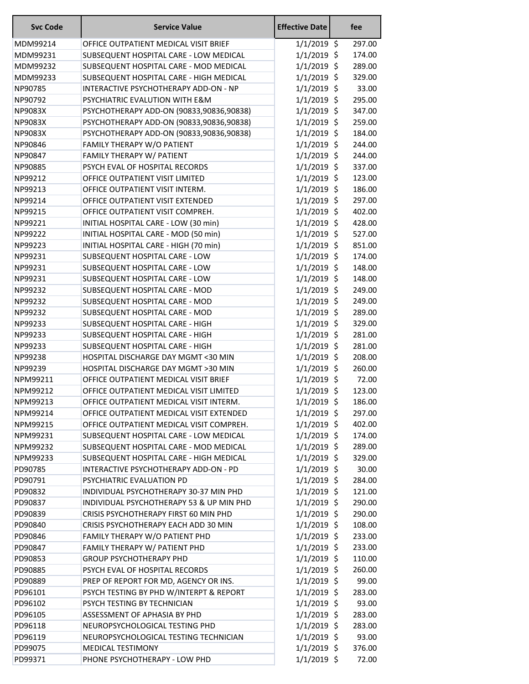| <b>Svc Code</b> | <b>Service Value</b>                     | <b>Effective Date</b>          | fee    |
|-----------------|------------------------------------------|--------------------------------|--------|
| MDM99214        | OFFICE OUTPATIENT MEDICAL VISIT BRIEF    | $1/1/2019$ \$                  | 297.00 |
| MDM99231        | SUBSEQUENT HOSPITAL CARE - LOW MEDICAL   | $1/1/2019$ \$                  | 174.00 |
| MDM99232        | SUBSEQUENT HOSPITAL CARE - MOD MEDICAL   | $1/1/2019$ \$                  | 289.00 |
| MDM99233        | SUBSEQUENT HOSPITAL CARE - HIGH MEDICAL  | $1/1/2019$ \$                  | 329.00 |
| NP90785         | INTERACTIVE PSYCHOTHERAPY ADD-ON - NP    | $1/1/2019$ \$                  | 33.00  |
| NP90792         | PSYCHIATRIC EVALUTION WITH E&M           | $1/1/2019$ \$                  | 295.00 |
| NP9083X         | PSYCHOTHERAPY ADD-ON (90833,90836,90838) | $1/1/2019$ \$                  | 347.00 |
| NP9083X         | PSYCHOTHERAPY ADD-ON (90833,90836,90838) | $1/1/2019$ \$                  | 259.00 |
| NP9083X         | PSYCHOTHERAPY ADD-ON (90833,90836,90838) | $1/1/2019$ \$                  | 184.00 |
| NP90846         | FAMILY THERAPY W/O PATIENT               | $1/1/2019$ \$                  | 244.00 |
| NP90847         | FAMILY THERAPY W/ PATIENT                | $1/1/2019$ \$                  | 244.00 |
| NP90885         | PSYCH EVAL OF HOSPITAL RECORDS           | $1/1/2019$ \$                  | 337.00 |
| NP99212         | OFFICE OUTPATIENT VISIT LIMITED          | $1/1/2019$ \$                  | 123.00 |
| NP99213         | OFFICE OUTPATIENT VISIT INTERM.          | $1/1/2019$ \$                  | 186.00 |
| NP99214         | OFFICE OUTPATIENT VISIT EXTENDED         | $1/1/2019$ \$                  | 297.00 |
| NP99215         | OFFICE OUTPATIENT VISIT COMPREH.         | $1/1/2019$ \$                  | 402.00 |
| NP99221         | INITIAL HOSPITAL CARE - LOW (30 min)     | $1/1/2019$ \$                  | 428.00 |
| NP99222         | INITIAL HOSPITAL CARE - MOD (50 min)     | $1/1/2019$ \$                  | 527.00 |
| NP99223         | INITIAL HOSPITAL CARE - HIGH (70 min)    | $1/1/2019$ \$                  | 851.00 |
| NP99231         | SUBSEQUENT HOSPITAL CARE - LOW           | $1/1/2019$ \$                  | 174.00 |
| NP99231         | SUBSEQUENT HOSPITAL CARE - LOW           | $1/1/2019$ \$                  | 148.00 |
| NP99231         | SUBSEQUENT HOSPITAL CARE - LOW           | $1/1/2019$ \$                  | 148.00 |
| NP99232         | SUBSEQUENT HOSPITAL CARE - MOD           | $1/1/2019$ \$                  | 249.00 |
| NP99232         | SUBSEQUENT HOSPITAL CARE - MOD           | $1/1/2019$ \$                  | 249.00 |
| NP99232         | SUBSEQUENT HOSPITAL CARE - MOD           | $1/1/2019$ \$                  | 289.00 |
| NP99233         | SUBSEQUENT HOSPITAL CARE - HIGH          | $1/1/2019$ \$                  | 329.00 |
| NP99233         | SUBSEQUENT HOSPITAL CARE - HIGH          | $1/1/2019$ \$                  | 281.00 |
|                 | SUBSEQUENT HOSPITAL CARE - HIGH          |                                |        |
| NP99233         |                                          | $1/1/2019$ \$<br>$1/1/2019$ \$ | 281.00 |
| NP99238         | HOSPITAL DISCHARGE DAY MGMT <30 MIN      |                                | 208.00 |
| NP99239         | HOSPITAL DISCHARGE DAY MGMT >30 MIN      | $1/1/2019$ \$                  | 260.00 |
| NPM99211        | OFFICE OUTPATIENT MEDICAL VISIT BRIEF    | $1/1/2019$ \$                  | 72.00  |
| NPM99212        | OFFICE OUTPATIENT MEDICAL VISIT LIMITED  | $1/1/2019$ \$                  | 123.00 |
| NPM99213        | OFFICE OUTPATIENT MEDICAL VISIT INTERM.  | $1/1/2019$ \$                  | 186.00 |
| NPM99214        | OFFICE OUTPATIENT MEDICAL VISIT EXTENDED | $1/1/2019$ \$                  | 297.00 |
| NPM99215        | OFFICE OUTPATIENT MEDICAL VISIT COMPREH. | $1/1/2019$ \$                  | 402.00 |
| NPM99231        | SUBSEQUENT HOSPITAL CARE - LOW MEDICAL   | $1/1/2019$ \$                  | 174.00 |
| NPM99232        | SUBSEQUENT HOSPITAL CARE - MOD MEDICAL   | $1/1/2019$ \$                  | 289.00 |
| NPM99233        | SUBSEQUENT HOSPITAL CARE - HIGH MEDICAL  | $1/1/2019$ \$                  | 329.00 |
| PD90785         | INTERACTIVE PSYCHOTHERAPY ADD-ON - PD    | $1/1/2019$ \$                  | 30.00  |
| PD90791         | PSYCHIATRIC EVALUATION PD                | $1/1/2019$ \$                  | 284.00 |
| PD90832         | INDIVIDUAL PSYCHOTHERAPY 30-37 MIN PHD   | $1/1/2019$ \$                  | 121.00 |
| PD90837         | INDIVIDUAL PSYCHOTHERAPY 53 & UP MIN PHD | $1/1/2019$ \$                  | 290.00 |
| PD90839         | CRISIS PSYCHOTHERAPY FIRST 60 MIN PHD    | $1/1/2019$ \$                  | 290.00 |
| PD90840         | CRISIS PSYCHOTHERAPY EACH ADD 30 MIN     | $1/1/2019$ \$                  | 108.00 |
| PD90846         | FAMILY THERAPY W/O PATIENT PHD           | $1/1/2019$ \$                  | 233.00 |
| PD90847         | FAMILY THERAPY W/ PATIENT PHD            | $1/1/2019$ \$                  | 233.00 |
| PD90853         | <b>GROUP PSYCHOTHERAPY PHD</b>           | $1/1/2019$ \$                  | 110.00 |
| PD90885         | PSYCH EVAL OF HOSPITAL RECORDS           | $1/1/2019$ \$                  | 260.00 |
| PD90889         | PREP OF REPORT FOR MD, AGENCY OR INS.    | $1/1/2019$ \$                  | 99.00  |
| PD96101         | PSYCH TESTING BY PHD W/INTERPT & REPORT  | $1/1/2019$ \$                  | 283.00 |
| PD96102         | PSYCH TESTING BY TECHNICIAN              | $1/1/2019$ \$                  | 93.00  |
| PD96105         | ASSESSMENT OF APHASIA BY PHD             | $1/1/2019$ \$                  | 283.00 |
| PD96118         | NEUROPSYCHOLOGICAL TESTING PHD           | $1/1/2019$ \$                  | 283.00 |
| PD96119         | NEUROPSYCHOLOGICAL TESTING TECHNICIAN    | $1/1/2019$ \$                  | 93.00  |
| PD99075         | MEDICAL TESTIMONY                        | $1/1/2019$ \$                  | 376.00 |
| PD99371         | PHONE PSYCHOTHERAPY - LOW PHD            | $1/1/2019$ \$                  | 72.00  |
|                 |                                          |                                |        |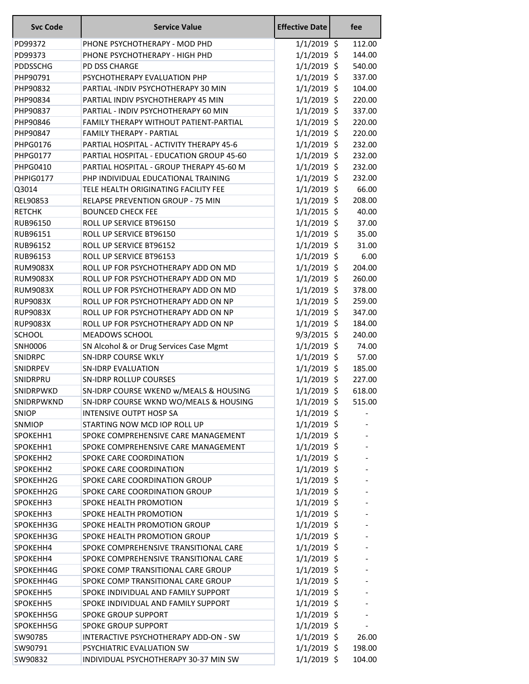| <b>Svc Code</b>  | <b>Service Value</b>                          | <b>Effective Date</b> | fee    |
|------------------|-----------------------------------------------|-----------------------|--------|
| PD99372          | PHONE PSYCHOTHERAPY - MOD PHD                 | $1/1/2019$ \$         | 112.00 |
| PD99373          | PHONE PSYCHOTHERAPY - HIGH PHD                | $1/1/2019$ \$         | 144.00 |
| <b>PDDSSCHG</b>  | PD DSS CHARGE                                 | $1/1/2019$ \$         | 540.00 |
| PHP90791         | PSYCHOTHERAPY EVALUATION PHP                  | $1/1/2019$ \$         | 337.00 |
| PHP90832         | PARTIAL -INDIV PSYCHOTHERAPY 30 MIN           | $1/1/2019$ \$         | 104.00 |
| PHP90834         | PARTIAL INDIV PSYCHOTHERAPY 45 MIN            | $1/1/2019$ \$         | 220.00 |
| PHP90837         | PARTIAL - INDIV PSYCHOTHERAPY 60 MIN          | $1/1/2019$ \$         | 337.00 |
| PHP90846         | <b>FAMILY THERAPY WITHOUT PATIENT-PARTIAL</b> | $1/1/2019$ \$         | 220.00 |
| PHP90847         | <b>FAMILY THERAPY - PARTIAL</b>               | $1/1/2019$ \$         | 220.00 |
| PHPG0176         | PARTIAL HOSPITAL - ACTIVITY THERAPY 45-6      | $1/1/2019$ \$         | 232.00 |
| <b>PHPG0177</b>  | PARTIAL HOSPITAL - EDUCATION GROUP 45-60      | $1/1/2019$ \$         | 232.00 |
| <b>PHPG0410</b>  | PARTIAL HOSPITAL - GROUP THERAPY 45-60 M      | $1/1/2019$ \$         | 232.00 |
| PHPIG0177        | PHP INDIVIDUAL EDUCATIONAL TRAINING           | $1/1/2019$ \$         | 232.00 |
| Q3014            | TELE HEALTH ORIGINATING FACILITY FEE          | $1/1/2019$ \$         | 66.00  |
| <b>REL90853</b>  | <b>RELAPSE PREVENTION GROUP - 75 MIN</b>      | $1/1/2019$ \$         | 208.00 |
| <b>RETCHK</b>    | <b>BOUNCED CHECK FEE</b>                      | $1/1/2015$ \$         | 40.00  |
| RUB96150         | ROLL UP SERVICE BT96150                       | $1/1/2019$ \$         | 37.00  |
| RUB96151         | ROLL UP SERVICE BT96150                       | $1/1/2019$ \$         | 35.00  |
| RUB96152         | ROLL UP SERVICE BT96152                       | $1/1/2019$ \$         | 31.00  |
| RUB96153         | ROLL UP SERVICE BT96153                       | $1/1/2019$ \$         | 6.00   |
| <b>RUM9083X</b>  | ROLL UP FOR PSYCHOTHERAPY ADD ON MD           | $1/1/2019$ \$         | 204.00 |
| <b>RUM9083X</b>  | ROLL UP FOR PSYCHOTHERAPY ADD ON MD           | $1/1/2019$ \$         | 260.00 |
| <b>RUM9083X</b>  | ROLL UP FOR PSYCHOTHERAPY ADD ON MD           | $1/1/2019$ \$         | 378.00 |
| <b>RUP9083X</b>  | ROLL UP FOR PSYCHOTHERAPY ADD ON NP           | $1/1/2019$ \$         | 259.00 |
| <b>RUP9083X</b>  | ROLL UP FOR PSYCHOTHERAPY ADD ON NP           | $1/1/2019$ \$         | 347.00 |
| <b>RUP9083X</b>  | ROLL UP FOR PSYCHOTHERAPY ADD ON NP           | $1/1/2019$ \$         | 184.00 |
| <b>SCHOOL</b>    | MEADOWS SCHOOL                                | $9/3/2015$ \$         | 240.00 |
| <b>SNH0006</b>   | SN Alcohol & or Drug Services Case Mgmt       | $1/1/2019$ \$         | 74.00  |
| <b>SNIDRPC</b>   | <b>SN-IDRP COURSE WKLY</b>                    | $1/1/2019$ \$         | 57.00  |
| SNIDRPEV         | <b>SN-IDRP EVALUATION</b>                     | $1/1/2019$ \$         | 185.00 |
| SNIDRPRU         | <b>SN-IDRP ROLLUP COURSES</b>                 | $1/1/2019$ \$         | 227.00 |
| <b>SNIDRPWKD</b> | SN-IDRP COURSE WKEND w/MEALS & HOUSING        | $1/1/2019$ \$         | 618.00 |
| SNIDRPWKND       | SN-IDRP COURSE WKND WO/MEALS & HOUSING        | $1/1/2019$ \$         | 515.00 |
| <b>SNIOP</b>     | <b>INTENSIVE OUTPT HOSP SA</b>                | $1/1/2019$ \$         |        |
| SNMIOP           | STARTING NOW MCD IOP ROLL UP                  | $1/1/2019$ \$         |        |
| SPOKEHH1         | SPOKE COMPREHENSIVE CARE MANAGEMENT           | $1/1/2019$ \$         |        |
| SPOKEHH1         | SPOKE COMPREHENSIVE CARE MANAGEMENT           | $1/1/2019$ \$         |        |
| SPOKEHH2         | SPOKE CARE COORDINATION                       | $1/1/2019$ \$         |        |
| SPOKEHH2         | SPOKE CARE COORDINATION                       | $1/1/2019$ \$         |        |
| SPOKEHH2G        | SPOKE CARE COORDINATION GROUP                 | $1/1/2019$ \$         |        |
| SPOKEHH2G        | SPOKE CARE COORDINATION GROUP                 | $1/1/2019$ \$         |        |
| SPOKEHH3         | SPOKE HEALTH PROMOTION                        | $1/1/2019$ \$         |        |
| SPOKEHH3         | SPOKE HEALTH PROMOTION                        | $1/1/2019$ \$         |        |
| SPOKEHH3G        | SPOKE HEALTH PROMOTION GROUP                  | $1/1/2019$ \$         |        |
| SPOKEHH3G        | SPOKE HEALTH PROMOTION GROUP                  | $1/1/2019$ \$         |        |
| SPOKEHH4         | SPOKE COMPREHENSIVE TRANSITIONAL CARE         | $1/1/2019$ \$         |        |
| SPOKEHH4         | SPOKE COMPREHENSIVE TRANSITIONAL CARE         | $1/1/2019$ \$         |        |
| SPOKEHH4G        | SPOKE COMP TRANSITIONAL CARE GROUP            | $1/1/2019$ \$         |        |
| SPOKEHH4G        | SPOKE COMP TRANSITIONAL CARE GROUP            | $1/1/2019$ \$         |        |
| SPOKEHH5         | SPOKE INDIVIDUAL AND FAMILY SUPPORT           | $1/1/2019$ \$         |        |
| SPOKEHH5         | SPOKE INDIVIDUAL AND FAMILY SUPPORT           | $1/1/2019$ \$         |        |
| SPOKEHH5G        | <b>SPOKE GROUP SUPPORT</b>                    | $1/1/2019$ \$         |        |
| SPOKEHH5G        | <b>SPOKE GROUP SUPPORT</b>                    | $1/1/2019$ \$         |        |
| SW90785          | INTERACTIVE PSYCHOTHERAPY ADD-ON - SW         | $1/1/2019$ \$         | 26.00  |
| SW90791          | PSYCHIATRIC EVALUATION SW                     | $1/1/2019$ \$         | 198.00 |
| SW90832          | INDIVIDUAL PSYCHOTHERAPY 30-37 MIN SW         | $1/1/2019$ \$         | 104.00 |